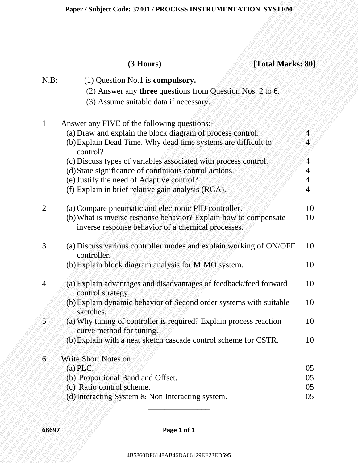# **(3 Hours) [Total Marks: 80]**

|                | $(3$ Hours)<br>[Total Marks: 80]                                                                                       |          |
|----------------|------------------------------------------------------------------------------------------------------------------------|----------|
| $N.B$ :        | $(1)$ Question No.1 is <b>compulsory.</b>                                                                              |          |
|                | (2) Answer any <b>three</b> questions from Question Nos. 2 to 6.                                                       |          |
|                | (3) Assume suitable data if necessary.                                                                                 |          |
|                | Answer any FIVE of the following questions:-                                                                           |          |
|                | (a) Draw and explain the block diagram of process control.                                                             |          |
|                | (b) Explain Dead Time. Why dead time systems are difficult to<br>control?                                              |          |
|                | (c) Discuss types of variables associated with process control.                                                        |          |
|                | (d) State significance of continuous control actions.                                                                  |          |
|                | (e) Justify the need of Adaptive control?                                                                              |          |
|                | (f) Explain in brief relative gain analysis (RGA).                                                                     |          |
| $\overline{2}$ | (a) Compare pneumatic and electronic PID controller.                                                                   | 10       |
|                | (b) What is inverse response behavior? Explain how to compensate<br>inverse response behavior of a chemical processes. | 10       |
| 3              | (a) Discuss various controller modes and explain working of ON/OFF<br>controller.                                      | 10       |
|                | (b) Explain block diagram analysis for MIMO system.                                                                    | 10       |
| 4              | (a) Explain advantages and disadvantages of feedback/feed forward<br>control strategy.                                 | 10       |
|                | (b) Explain dynamic behavior of Second order systems with suitable<br>sketches.                                        | 10       |
| 5              | (a) Why tuning of controller is required? Explain process reaction<br>curve method for tuning.                         | 10       |
|                | (b) Explain with a neat sketch cascade control scheme for CSTR.                                                        | 10       |
| 6              | <b>Write Short Notes on:</b>                                                                                           |          |
|                | $(a)$ PLC.                                                                                                             | 05       |
|                | (b) Proportional Band and Offset.                                                                                      | 05       |
|                | (c) Ratio control scheme.<br>(d) Interacting System & Non Interacting system.                                          | 05<br>05 |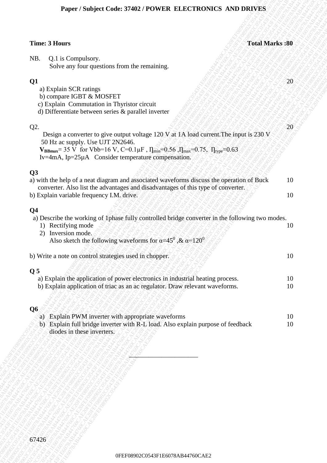## **Paper / Subject Code: 37402 / POWER ELECTRONICS AND DRIVES**

| Paper / Subject Code: 37402 / POWER ELECTRONICS AND DRIVES                                                                                                                                                                                                                                          |                       |
|-----------------------------------------------------------------------------------------------------------------------------------------------------------------------------------------------------------------------------------------------------------------------------------------------------|-----------------------|
|                                                                                                                                                                                                                                                                                                     |                       |
| <b>Time: 3 Hours</b>                                                                                                                                                                                                                                                                                | <b>Total Marks:80</b> |
| Q.1 is Compulsory.<br>NB.<br>Solve any four questions from the remaining.                                                                                                                                                                                                                           |                       |
| Q1<br>a) Explain SCR ratings<br>b) compare IGBT & MOSFET<br>c) Explain Commutation in Thyristor circuit<br>d) Differentiate between series & parallel inverter                                                                                                                                      | 20                    |
| Q2.<br>Design a converter to give output voltage 120 V at 1A load current. The input is 230 V<br>50 Hz ac supply. Use UJT 2N2646.<br>$V_{BBmax}$ = 35 V for Vbb=16 V, C=0.1 $\mu$ F, $\Pi_{min}$ =0.56, $\Pi_{max}$ =0.75, $\Pi_{type}$ =0.63<br>Iv=4mA, Ip=25µA Consider temperature compensation. | 20                    |
| Q3<br>a) with the help of a neat diagram and associated waveforms discuss the operation of Buck<br>converter. Also list the advantages and disadvantages of this type of converter.<br>b) Explain variable frequency I.M. drive.                                                                    | 10<br>10              |
| Q <sub>4</sub><br>a) Describe the working of 1phase fully controlled bridge converter in the following two modes.<br>1) Rectifying mode<br>Inversion mode.<br>2)<br>Also sketch the following waveforms for $\alpha=45^\circ$ , & $\alpha=120^\circ$                                                | 10                    |
| b) Write a note on control strategies used in chopper.                                                                                                                                                                                                                                              | 10                    |
| Q <sub>5</sub><br>a) Explain the application of power electronics in industrial heating process.<br>b) Explain application of triac as an ac regulator. Draw relevant waveforms.                                                                                                                    | 10<br>10              |
| Q <sub>6</sub><br>a) Explain PWM inverter with appropriate waveforms<br>b) Explain full bridge inverter with R-L load. Also explain purpose of feedback<br>diodes in these inverters.                                                                                                               | 10<br>10              |
|                                                                                                                                                                                                                                                                                                     |                       |
|                                                                                                                                                                                                                                                                                                     |                       |
| 67426                                                                                                                                                                                                                                                                                               |                       |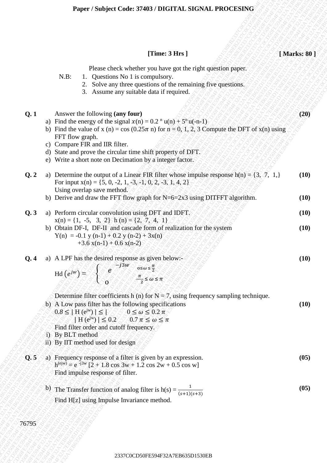|       | [Time: $3 Hrs$ ]                                                                                                                                                                                                                                                                                                                                                                                                | [Marks: 80]  |
|-------|-----------------------------------------------------------------------------------------------------------------------------------------------------------------------------------------------------------------------------------------------------------------------------------------------------------------------------------------------------------------------------------------------------------------|--------------|
|       | Please check whether you have got the right question paper.<br>Questions No 1 is compulsory.<br>$N.B$ :<br>1.<br>2. Solve any three questions of the remaining five questions.<br>3. Assume any suitable data if required.                                                                                                                                                                                      |              |
| Q.1   | Answer the following (any four)<br>a) Find the energy of the signal $x(n) = 0.2$ <sup>n</sup> u(n) + $5^{\text{n}}$ u(-n-1)<br>b) Find the value of x (n) = cos (0.25 $\pi$ n) for n = 0, 1, 2, 3 Compute the DFT of x(n) using<br>FFT flow graph.<br>c) Compare FIR and IIR filter.<br>d) State and prove the circular time shift property of DFT.<br>e) Write a short note on Decimation by a integer factor. | (20)         |
| Q.2   | a) Determine the output of a Linear FIR filter whose impulse response $h(n) = \{3, 7, 1, \}$<br>For input $x(n) = \{5, 0, -2, 1, -3, -1, 0, 2, -3, 1, 4, 2\}$<br>Using overlap save method.<br>b) Derive and draw the FFT flow graph for $N=6=2x3$ using DITFFT algorithm.                                                                                                                                      | (10)<br>(10) |
| Q.3   | a) Perform circular convolution using DFT and IDFT.                                                                                                                                                                                                                                                                                                                                                             | (10)         |
|       | $x(n) = \{1, -5, 3, 2\}$ h (n) = $\{2, 7, 4, 1\}$<br>b) Obtain DF-I, DF-II and cascade form of realization for the system<br>$Y(n) = -0.1 y(n-1) + 0.2 y(n-2) + 3x(n)$<br>$+3.6 x(n-1) + 0.6 x(n-2)$                                                                                                                                                                                                            | (10)         |
| Q.4   | a) A LPF has the desired response as given below:-<br>Hd $(e^{jw}) =$ $\begin{cases} e^{-j3w} & 0 \le w \le \frac{\pi}{2} \\ 0 & \frac{\pi}{2} \le w \le \pi \end{cases}$                                                                                                                                                                                                                                       | (10)         |
|       | Determine filter coefficients h (n) for $N = 7$ , using frequency sampling technique.<br>b) A Low pass filter has the following specifications<br>$0.8 \leq  H(e^{j\omega})  \leq  \sqrt{360} \leq \omega \leq 0.2 \pi$<br>$ H(e^{jw})  \leq 0.2$ 0.7 $\pi \leq \omega \leq \pi$<br>Find filter order and cutoff frequency.<br>i) By BLT method<br>ii) By IIT method used for design                            | (10)         |
| Q.5   | a) Frequency response of a filter is given by an expression.<br>$h^{(e)} = e^{-j3w} [2 + 1.8 \cos 3w + 1.2 \cos 2w + 0.5 \cos w]$<br>Find impulse response of filter.                                                                                                                                                                                                                                           | (05)         |
|       | b) The Transfer function of analog filter is $h(s) = \frac{1}{(s+1)(s+3)}$<br>Find H[z] using Impulse Invariance method.                                                                                                                                                                                                                                                                                        | (05)         |
| 76795 |                                                                                                                                                                                                                                                                                                                                                                                                                 |              |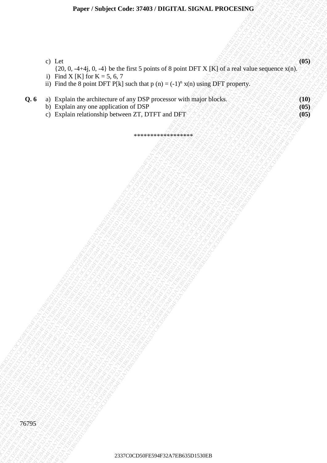- c) Let
- $23$  Left 0,  $-1+11$  i)  $-11$  be the first  $x$  points of 8 point of 8 point DFT XTR1 of a reduce segments xi.e.  $y$  DB <br>  $y$  The limit is properties of a DES gross and with the paper of the sequence of a DES gross and the <sup>23</sup> $\frac{1}{250}$ , 0, -41-i<sub>j</sub>. 0, -41) be the flast 5 point of 8 point DFT X [K] of a real value seguence **x** 100<sup>060</sup><br>
13 Final X [N] (*u*) = k, <sup>1</sup> k, <sup>2</sup> k, <sup>2</sup> k, <sup>2</sup> k, <sup>2</sup> k, <sup>2</sup> k, <sup>2</sup> k, <sup>2</sup> k, <sup>2</sup> k, <sup>2</sup> k, <sup>2</sup> k, 2)  $\frac{1}{2}$ R50,  $\frac{1}{2}$ H<sub>3</sub>0,  $0.4\frac{1}{2}$ ke (a) Fe594 K7EB63 D1530EB237C0 FE794F3 D1530EB2337C0CD50FE794F32A7EB635D1530EB2337C0CD50FE794F32A7EB635D1530EB2337C0CD50FE794F32A7EB635D1530EB2337C0CD50FE794F32A7EB635D1530EB  $2370, 2476, 0, -11$  be slue first a years of 8 years DFT X (K) of a red when experiments and the space of the red when  $\frac{1}{2}$  D First deck space space of the red when  $\frac{1}{2}$  D First deck space  $\frac{1}{2}$  D First deck Paper: Subject Loves 37403 IBCLITAL SLOVAL PROVESSING<br>
23 Let<br>
23 Let 0.4 Let 0.4 Let 0 Metals 10 Let 0 The Context State District Response 120 Let 03<br>
19 For 0.4 Let 0 Metals 20 Let 0 Metals 10 Let 0 Metals 10 Let 0 Metal **Paper: Statistic Code:** 37403 (DIGITAL SIGNAL PROCESSING)<br>  $Q_1 = \begin{pmatrix} 1 & 1 & 0 \\ 0 & 1 & 0 \\ 0 & 0 & 0 \\ 0 & 0 & 0 \\ 0 & 0 & 0 \\ 0 & 0 & 0 \\ 0 & 0 & 0 \\ 0 & 0 & 0 \\ 0 & 0 & 0 \\ 0 & 0 & 0 \\ 0 & 0 & 0 \\ 0 & 0 & 0 \\ 0 & 0 & 0 \\ 0 & 0 & 0 \\ 0 & 0 & 0 \\ 0 & 0 & 0 \\ 0 & 0 &$ Paper Studyed Code 3740 F200CD50FC4<br>
23 Lct<br>
23 Lct<br>
23 Lct<br>
23 Depth and architecture of polarism of spains of spains and architecture of properties<br>
3 Perform and architecture of properties are also the spains of the sp Paper / Soulyet Code: 37403/ INCTAL SIGNAL PROCESSING<br>
(1) LG,<br>
(1) LG, 0, -1+1<sub>1</sub>, 0, -1+ 2 text, blaz, and a year of Symmetric Symmetric Symmetric State and white regioners state.<br>
(1) Particular distribution of the pro Paper / Subject Code: 37403 / DIGTT43 . SICNAL PROCESSING<br>  $2376 - 2376 - 2376 - 2376$ <br>  $256 - 2376 - 2376$ <br>  $256 - 2376$  Emissing and the right of the state space of the state space of the state of the state of the state of th Paper / Subject Code: 37403 / DIGTT43 . SICNAL PROCESSING<br>  $2376 - 2376 - 2376 - 2376$ <br>  $256 - 2376 - 2376$ <br>  $256 - 2376$  Emissing and the right of the state space of the state space of the state of the state of the state of th Paper / Subject Code: 37403 / DIGTT43 . SICNAL PROCESSING<br>  $2376 - 2376 - 2376 - 2376$ <br>  $256 - 2376 - 2376$ <br>  $256 - 2376$  Emissing and the right of the state space of the state space of the state of the state of the state of th Paper / Subject Code: 37403 / DIGTT43 . SICNAL PROCESSING<br>  $2376 - 2376 - 2376 - 2376$ <br>  $256 - 2376 - 2376$ <br>  $256 - 2376$  Emissing and the right of the state space of the state space of the state of the state of the state of th **Paper : Subject Code:** 37403 / INOTIAL SIGNAL PROCESSING<br>  $23.1\frac{1}{100}$  Hz, 4-4, 0, 0, 4) be the first spiniol of spiniol DTY X JK, is a real scheen regulation of the<br>
in Third X JK hard a scheme the stage in the stage Paper / Subject Code: 37403 / DIGITAL SIGNAL PROCESSING<br>  $\frac{1}{12}$  CD<sub>1</sub> C<sub>D</sub><br>  $\frac{1}{12}$  CD<sub>1</sub> A44<sub>E</sub> 0, 41 b is last that the at the profession of the profession of the professional contact the state space of the profe **Paper: Subject Code: 37403 / DIGITAL SUGNAL PROCESSING**<br>  $0.123$ ,  $0.1444, 0.41$  be the first  $5, 6, 7$ <br>  $1.7$  Park PS [2]  $\alpha$  is  $5, 6, 7$ <br>  $\alpha$  Park Ps [2]  $\alpha$  is  $5, 2$ <br>  $\alpha$  Park Ps [2]  $\alpha$  is  $\alpha$  Park Park Ps [2 Paper 7 Nadject Code: 37403 / DH4T1.AL SH2SXL PROXIDENTW<br>
3) Emil X [K] for K - St (2) st has a basic of the point of the point of the point of the point of the point of the point of the point of the point of the point of 2337C0CD50FE594F32A7EB635D1530EB2337C0CD50FE594F32A7EB635D1530EB2337C0CD50FE594F32A7EB635D1530EB2337C0CD50FE594F32A7EB635D1530EB2337C0CD50FE594F32A7EB635D1530EB2337C0CD50FE594F32A7EB635D1530EB Puper / Subject Code: 3740,Y INCITAL SIGNAL PROCESSING<br>
2) English de de de de 1914 de livre de pois control de pois de la poisa DVF X (K) el anuar schannagearea sécol<br>
2) English de successive d'artistic de poisa Cartes Paper / Subject Cude: XP403 / DICITAL SIGNAL PROCESSING<br>
23 Left<br>
23 EB24 Code: 444 (1, 4,1 b a becknown of a point of a point of N point of N<br>
23 Eb24 Code: 1, 4 and the contract of the point of the point of the point of 2337C0CD50FE594F32A7EB635D1530EB2337C0CD50FE594F32A7EB635D1530EB2337C0CD50FE594F32A7EB635D1530EB2337C0CD50FE594F32A7EB635D1530EB2337C0CD50FE594F32A7EB635D1530EB2337C0CD50FE594F32A7EB635D1530EB  $\{20, 0, -4+4j, 0, -4\}$  be the first 5 points of 8 point DFT X [K] of a real value sequence x(n).

**(05)**

- i) Find X [K] for K = 5, 6, 7
- ii) Find the 8 point DFT P[k] such that  $p(n) = (-1)^n x(n)$  using DFT property.
- **Q. 6** a) Explain the architecture of any DSP processor with major blocks.  $\sqrt{8}$   $\sqrt{8}$   $\sqrt{8}$   $\sqrt{8}$  (10)
	- b) Explain any one application of DSP **(05)** SAP SAP SAP SAP SAP (05)
	- c) Explain relationship between ZT, DTFT and DFT **(05)**

\*\*\*\*\*\*\*\*\*\*\*\*\*\*\*\*\*\*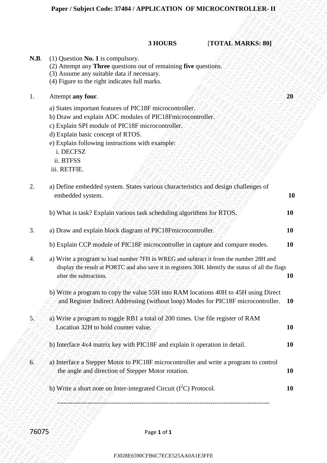### **3 HOURS** [**TOTAL MARKS: 80]**

- **N.B**. (1) Question **No. 1** is compulsory.
	- (2) Attempt any **Three** questions out of remaining **five** questions.
	- (3) Assume any suitable data if necessary.
	- (4) Figure to the right indicates full marks.

### **1.** Attempt **any four. 20**

- a) States important features of PIC18F microcontroller.
- b) Draw and explain ADC modules of PIC18Fmicrocontroller.
- c) Explain SPI module of PIC18F microcontroller.
- d) Explain basic concept of RTOS.
- e) Explain following instructions with example: i. DECFSZ
- ii. BTFSS
- iii. RETFIE.

| <b>N.B.</b> | $(1)$ Question <b>No. 1</b> is compulsory.<br>(2) Attempt any Three questions out of remaining five questions.<br>(3) Assume any suitable data if necessary.<br>(4) Figure to the right indicates full marks.                                                                                              |           |
|-------------|------------------------------------------------------------------------------------------------------------------------------------------------------------------------------------------------------------------------------------------------------------------------------------------------------------|-----------|
| 1.          | Attempt any four.                                                                                                                                                                                                                                                                                          | 20        |
|             | a) States important features of PIC18F microcontroller.<br>b) Draw and explain ADC modules of PIC18Fmicrocontroller.<br>c) Explain SPI module of PIC18F microcontroller.<br>d) Explain basic concept of RTOS.<br>e) Explain following instructions with example:<br>i. DECFSZ<br>ii. BTFSS<br>iii. RETFIE. |           |
| 2.          | a) Define embedded system. States various characteristics and design challenges of<br>embedded system.                                                                                                                                                                                                     | 10        |
|             | b) What is task? Explain various task scheduling algorithms for RTOS.                                                                                                                                                                                                                                      | 10        |
| 3.          | a) Draw and explain block diagram of PIC18Fmicrocontroller.                                                                                                                                                                                                                                                | 10        |
|             | b) Explain CCP module of PIC18F microcontroller in capture and compare modes.                                                                                                                                                                                                                              | <b>10</b> |
| 4.          | a) Write a program to load number 7FH in WREG and subtract it from the number 28H and<br>display the result at PORTC and also save it in registers 30H. Identify the status of all the flags<br>after the subtraction.                                                                                     | 10        |
|             | b) Write a program to copy the value 55H into RAM locations 40H to 45H using Direct<br>and Register Indirect Addressing (without loop) Modes for PIC18F microcontroller. 10                                                                                                                                |           |
| $5\zeta$    | a) Write a program to toggle RB1 a total of 200 times. Use file register of RAM<br>Location 32H to hold counter value.                                                                                                                                                                                     | 10        |
|             | b) Interface 4x4 matrix key with PIC18F and explain it operation in detail.                                                                                                                                                                                                                                | 10        |
| $6^\circ$   | a) Interface a Stepper Motor to PIC18F microcontroller and write a program to control<br>the angle and direction of Stepper Motor rotation.                                                                                                                                                                | 10        |
|             | b) Write a short note on Inter-integrated Circuit (I <sup>2</sup> C) Protocol.                                                                                                                                                                                                                             | 10        |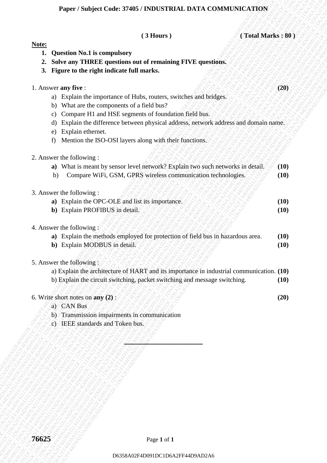## **Paper / Subject Code: 37405 / INDUSTRIAL DATA COMMUNICATION**

| Note:<br><b>Question No.1 is compulsory</b><br>1.<br>Solve any THREE questions out of remaining FIVE questions.<br>2.<br>3. Figure to the right indicate full marks.<br>1. Answer any five:<br>(20)<br>a) Explain the importance of Hubs, routers, switches and bridges.<br>What are the components of a field bus?<br>b)<br>Compare H1 and HSE segments of foundation field bus.<br>c)<br>Explain the difference between physical address, network address and domain name.<br>d)<br>Explain ethernet.<br>e)<br>Mention the ISO-OSI layers along with their functions.<br>f)<br>2. Answer the following :<br>a) What is meant by sensor level network? Explain two such networks in detail.<br>(10)<br>Compare WiFi, GSM, GPRS wireless communication technologies.<br>(10)<br>b)<br>3. Answer the following :<br>a) Explain the OPC-OLE and list its importance.<br>(10)<br>b) Explain PROFIBUS in detail.<br>(10)<br>4. Answer the following<br>a) Explain the methods employed for protection of field bus in hazardous area.<br>(10)<br>b) Explain MODBUS in detail.<br>(10)<br>5. Answer the following:<br>a) Explain the architecture of HART and its importance in industrial communication. (10)<br>b) Explain the circuit switching, packet switching and message switching.<br>(10)<br>6. Write short notes on $any(2)$ :<br>(20)<br>a) CAN Bus<br>b) Transmission impairments in communication<br>c) IEEE standards and Token bus. | (Total Marks: 80)<br>$(3$ Hours) |  |
|------------------------------------------------------------------------------------------------------------------------------------------------------------------------------------------------------------------------------------------------------------------------------------------------------------------------------------------------------------------------------------------------------------------------------------------------------------------------------------------------------------------------------------------------------------------------------------------------------------------------------------------------------------------------------------------------------------------------------------------------------------------------------------------------------------------------------------------------------------------------------------------------------------------------------------------------------------------------------------------------------------------------------------------------------------------------------------------------------------------------------------------------------------------------------------------------------------------------------------------------------------------------------------------------------------------------------------------------------------------------------------------------------------------------------------------------|----------------------------------|--|
|                                                                                                                                                                                                                                                                                                                                                                                                                                                                                                                                                                                                                                                                                                                                                                                                                                                                                                                                                                                                                                                                                                                                                                                                                                                                                                                                                                                                                                                |                                  |  |
|                                                                                                                                                                                                                                                                                                                                                                                                                                                                                                                                                                                                                                                                                                                                                                                                                                                                                                                                                                                                                                                                                                                                                                                                                                                                                                                                                                                                                                                |                                  |  |
|                                                                                                                                                                                                                                                                                                                                                                                                                                                                                                                                                                                                                                                                                                                                                                                                                                                                                                                                                                                                                                                                                                                                                                                                                                                                                                                                                                                                                                                |                                  |  |
|                                                                                                                                                                                                                                                                                                                                                                                                                                                                                                                                                                                                                                                                                                                                                                                                                                                                                                                                                                                                                                                                                                                                                                                                                                                                                                                                                                                                                                                |                                  |  |
|                                                                                                                                                                                                                                                                                                                                                                                                                                                                                                                                                                                                                                                                                                                                                                                                                                                                                                                                                                                                                                                                                                                                                                                                                                                                                                                                                                                                                                                |                                  |  |
|                                                                                                                                                                                                                                                                                                                                                                                                                                                                                                                                                                                                                                                                                                                                                                                                                                                                                                                                                                                                                                                                                                                                                                                                                                                                                                                                                                                                                                                |                                  |  |
|                                                                                                                                                                                                                                                                                                                                                                                                                                                                                                                                                                                                                                                                                                                                                                                                                                                                                                                                                                                                                                                                                                                                                                                                                                                                                                                                                                                                                                                |                                  |  |
|                                                                                                                                                                                                                                                                                                                                                                                                                                                                                                                                                                                                                                                                                                                                                                                                                                                                                                                                                                                                                                                                                                                                                                                                                                                                                                                                                                                                                                                |                                  |  |